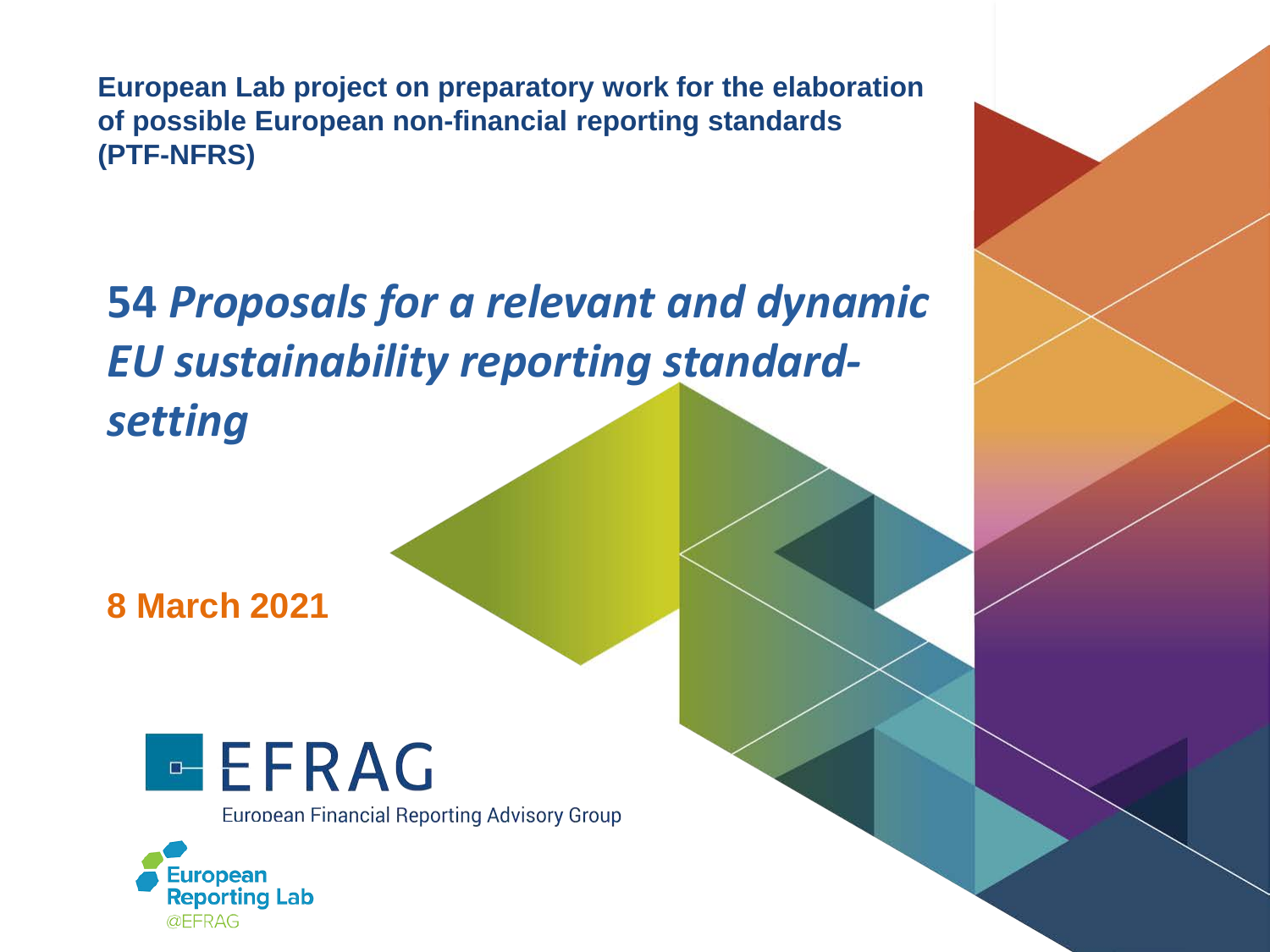**European Lab project on preparatory work for the elaboration of possible European non-financial reporting standards (PTF-NFRS)**

**54** *Proposals for a relevant and dynamic EU sustainability reporting standardsetting* 

**8 March 2021**



**European Financial Reporting Advisory Group** 

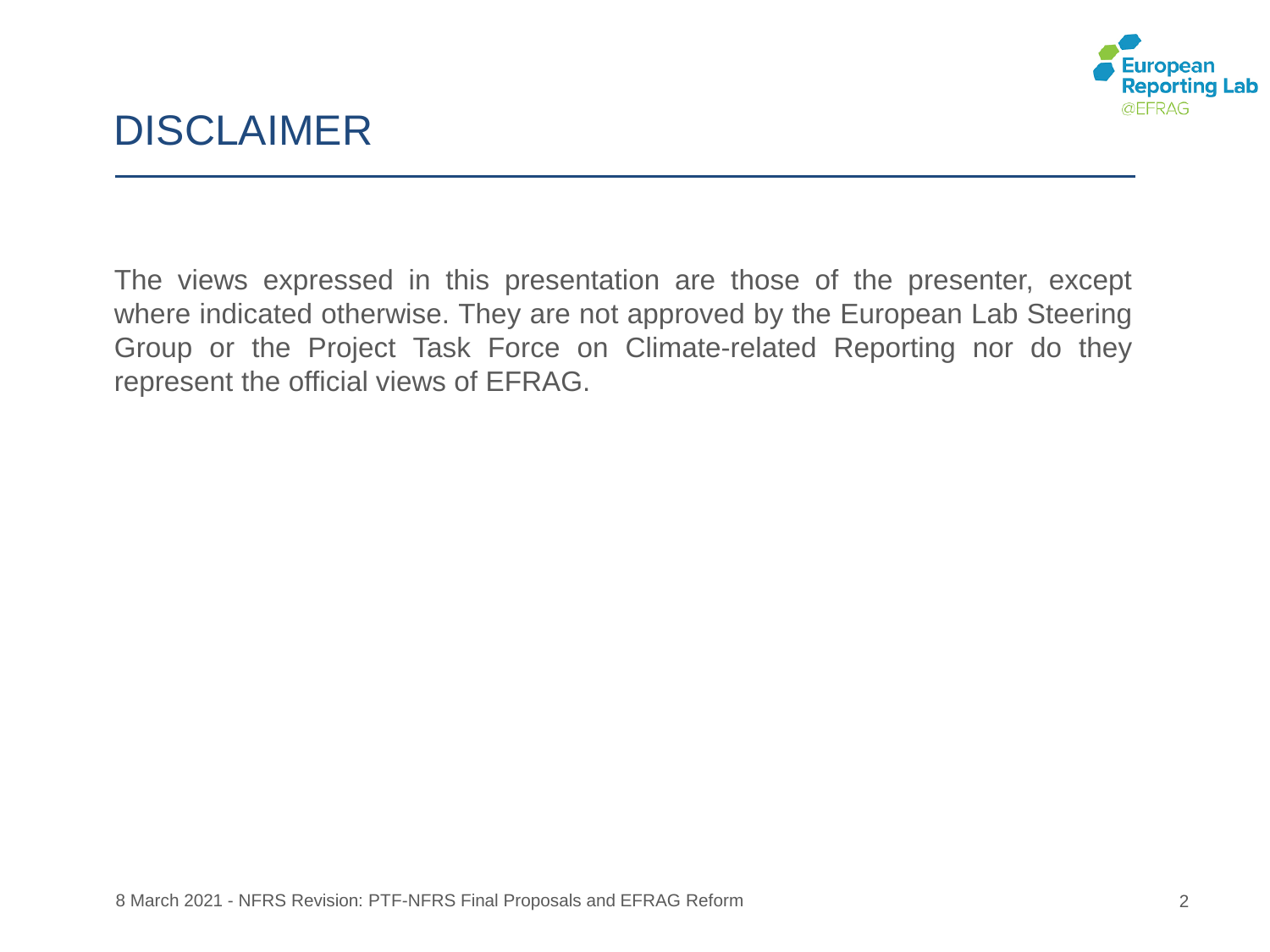

# DISCLAIMER

The views expressed in this presentation are those of the presenter, except where indicated otherwise. They are not approved by the European Lab Steering Group or the Project Task Force on Climate-related Reporting nor do they represent the official views of EFRAG.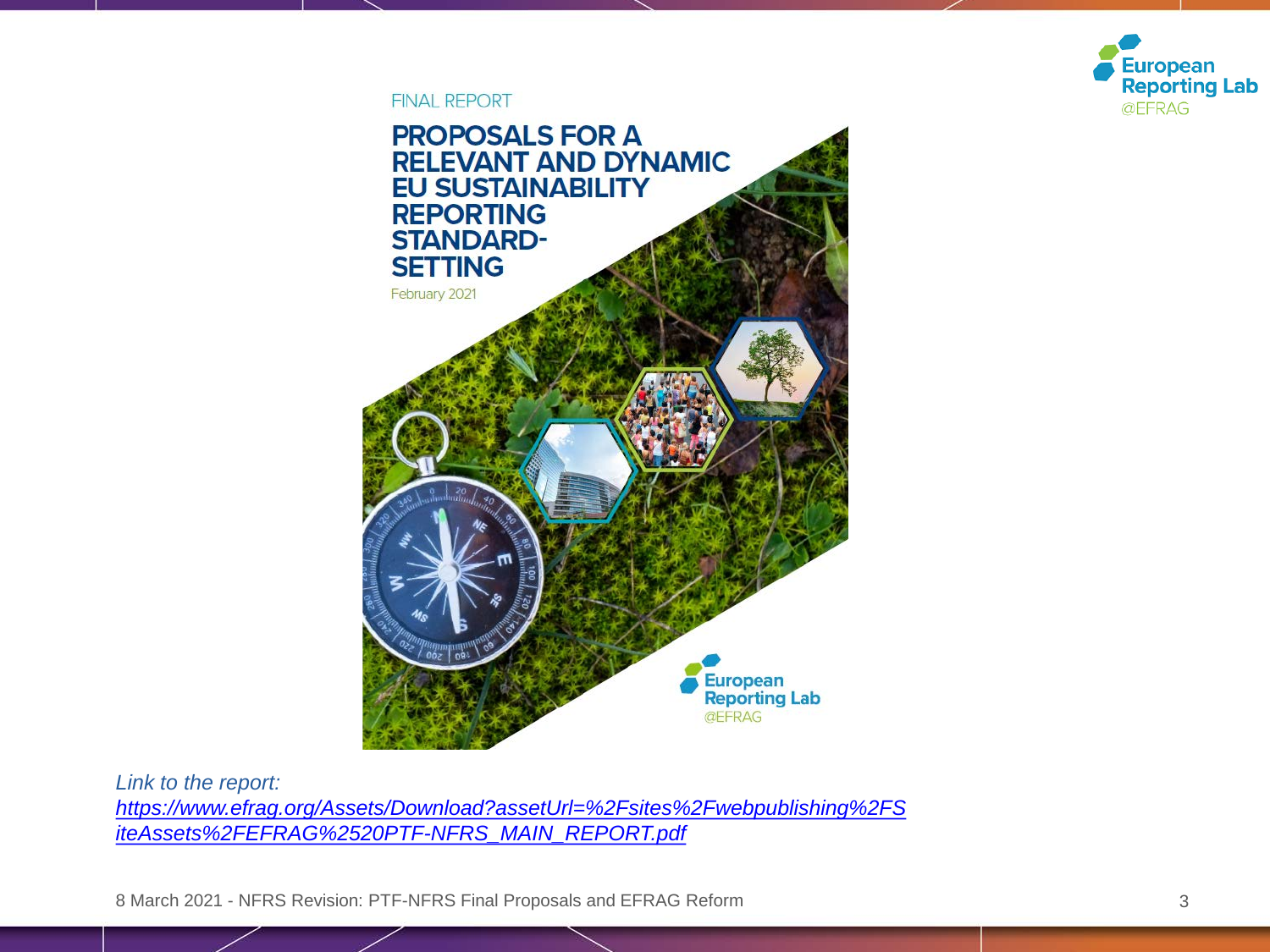

**FINAL REPORT** 



*Link to the report: [https://www.efrag.org/Assets/Download?assetUrl=%2Fsites%2Fwebpublishing%2FS](https://www.efrag.org/Assets/Download?assetUrl=%2Fsites%2Fwebpublishing%2FSiteAssets%2FEFRAG%2520PTF-NFRS_MAIN_REPORT.pdf) iteAssets%2FEFRAG%2520PTF-NFRS\_MAIN\_REPORT.pdf*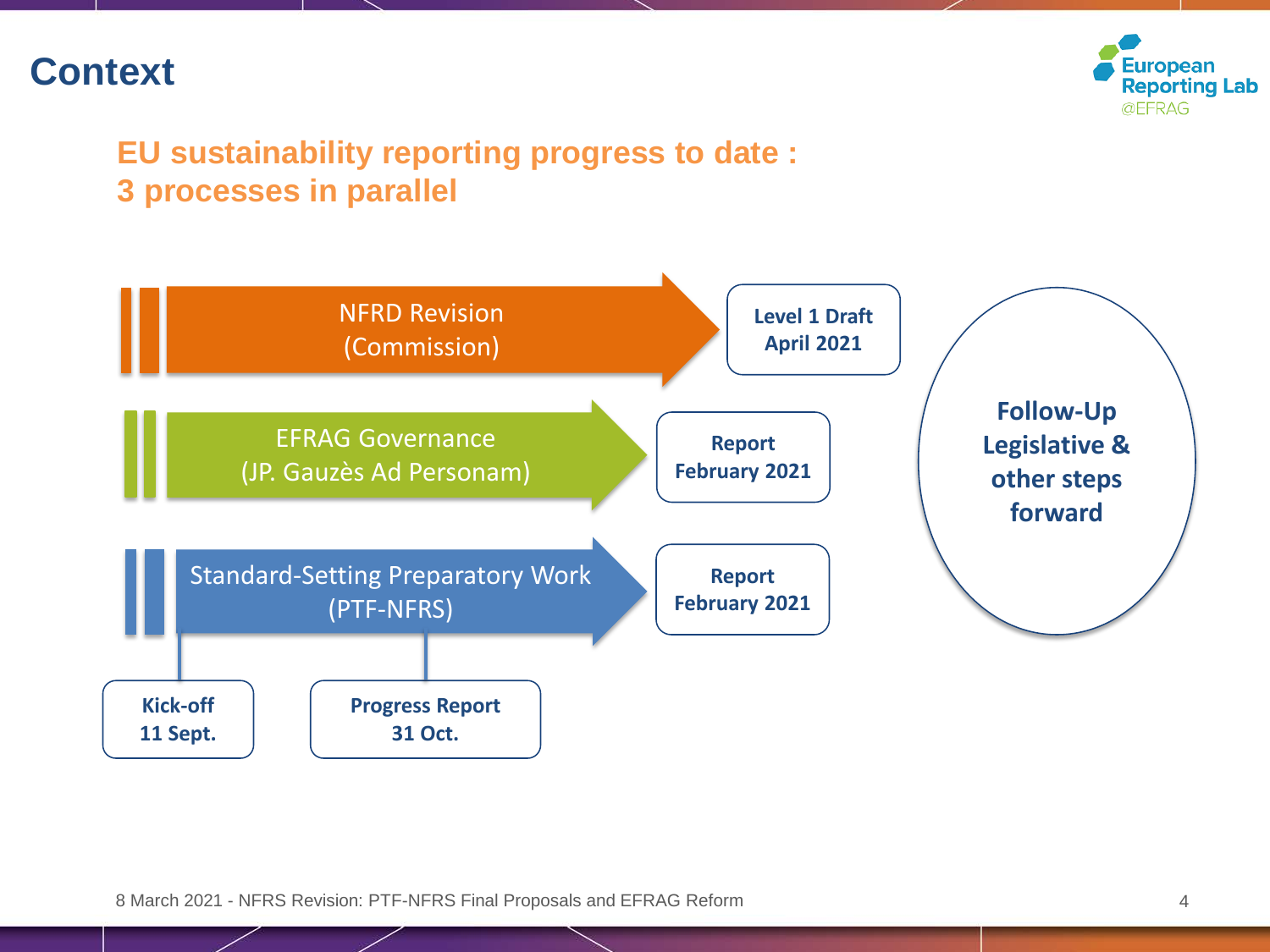## **Context**



#### **EU sustainability reporting progress to date : 3 processes in parallel**

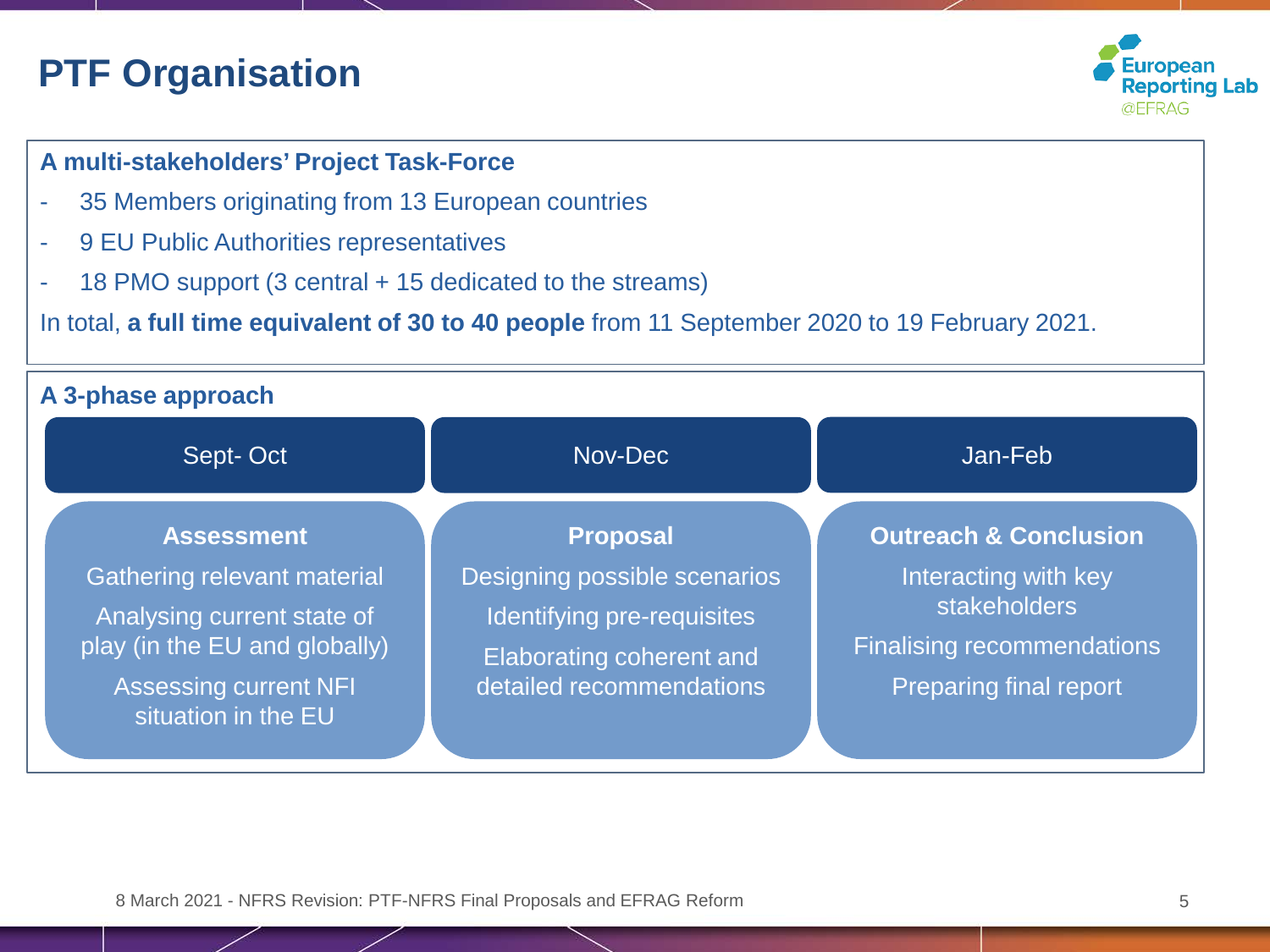# **PTF Organisation**



#### **A multi-stakeholders' Project Task-Force**

- 35 Members originating from 13 European countries
- 9 EU Public Authorities representatives
- 18 PMO support (3 central + 15 dedicated to the streams)

#### In total, **a full time equivalent of 30 to 40 people** from 11 September 2020 to 19 February 2021.

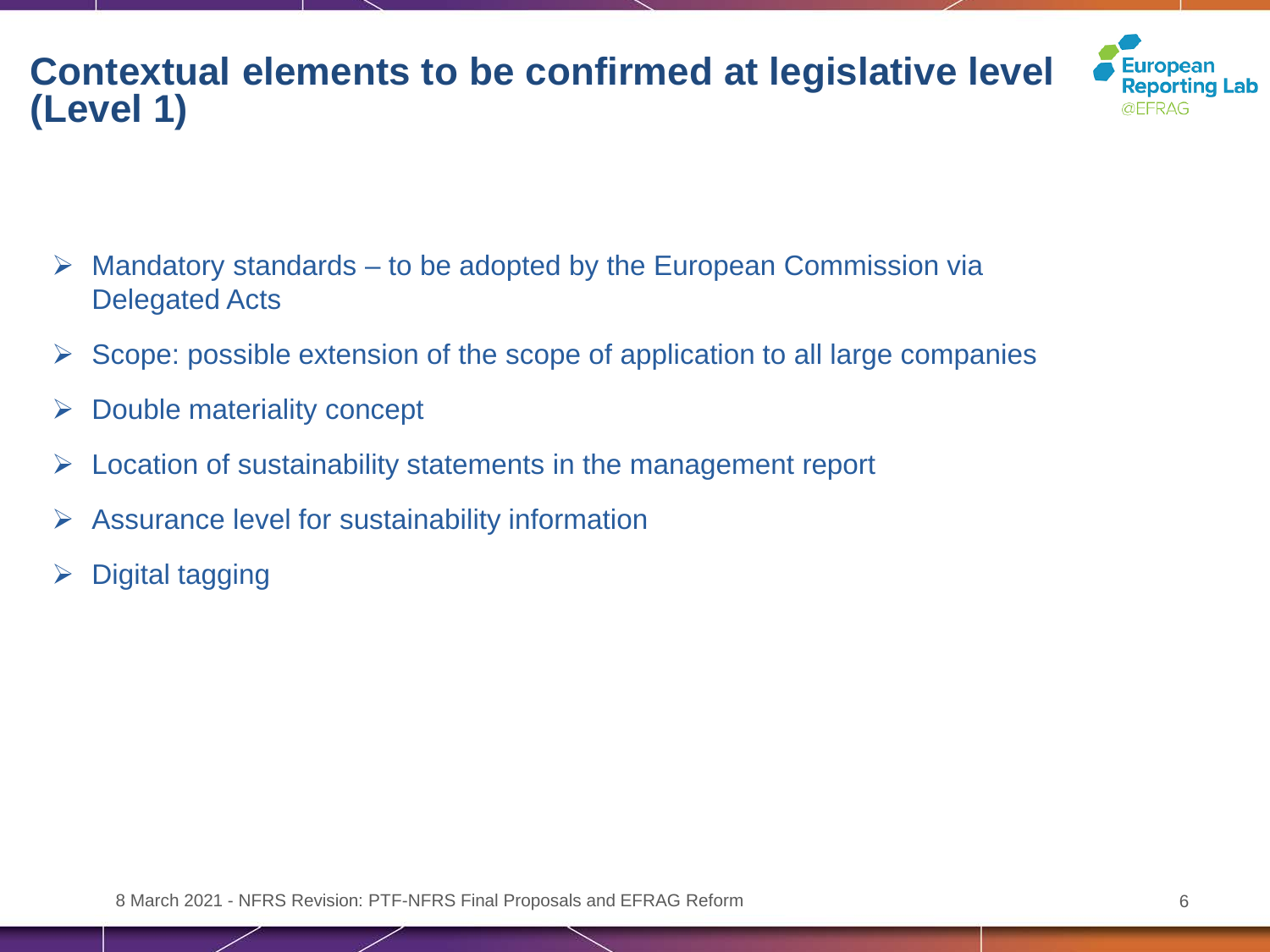# **Contextual elements to be confirmed at legislative level (Level 1)**



- $\triangleright$  Mandatory standards to be adopted by the European Commission via Delegated Acts
- $\triangleright$  Scope: possible extension of the scope of application to all large companies
- $\triangleright$  Double materiality concept
- $\triangleright$  Location of sustainability statements in the management report
- $\triangleright$  Assurance level for sustainability information
- $\triangleright$  Digital tagging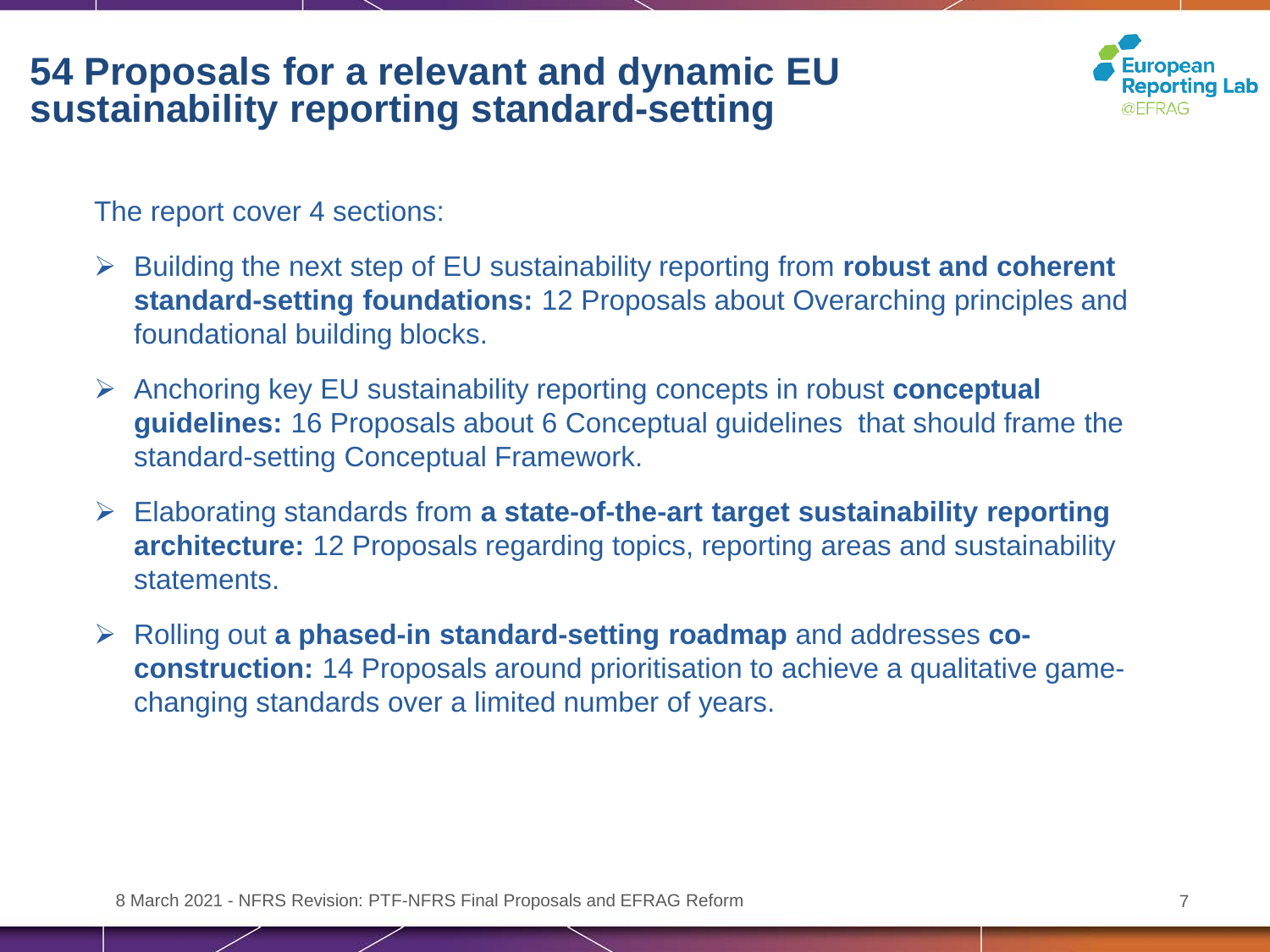### **54 Proposals for a relevant and dynamic EU sustainability reporting standard-setting**



The report cover 4 sections:

- Building the next step of EU sustainability reporting from **robust and coherent standard-setting foundations:** 12 Proposals about Overarching principles and foundational building blocks.
- Anchoring key EU sustainability reporting concepts in robust **conceptual guidelines:** 16 Proposals about 6 Conceptual guidelines that should frame the standard-setting Conceptual Framework.
- Elaborating standards from **a state-of-the-art target sustainability reporting architecture:** 12 Proposals regarding topics, reporting areas and sustainability statements.
- Rolling out **a phased-in standard-setting roadmap** and addresses **coconstruction:** 14 Proposals around prioritisation to achieve a qualitative gamechanging standards over a limited number of years.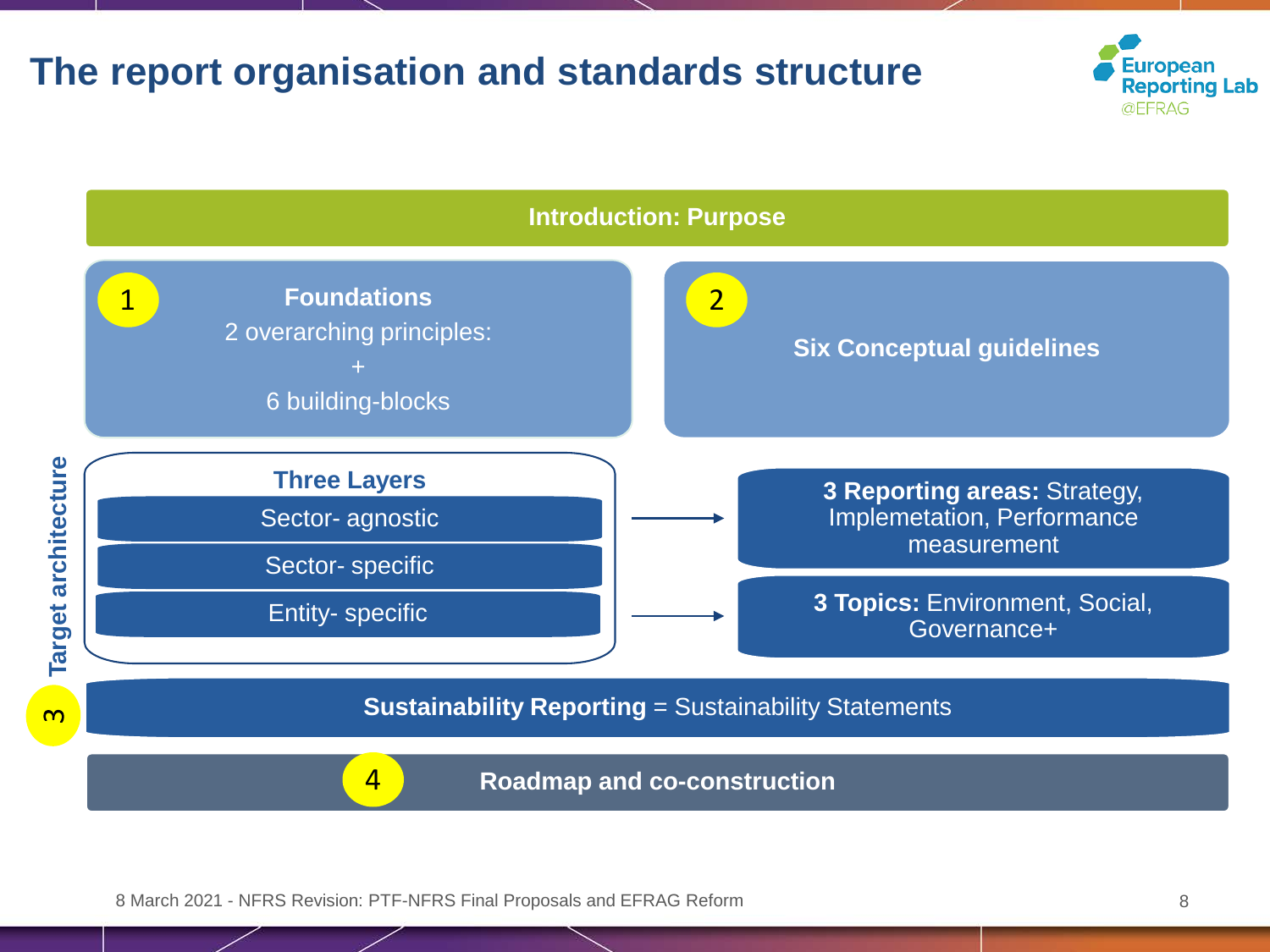### **The report organisation and standards structure**



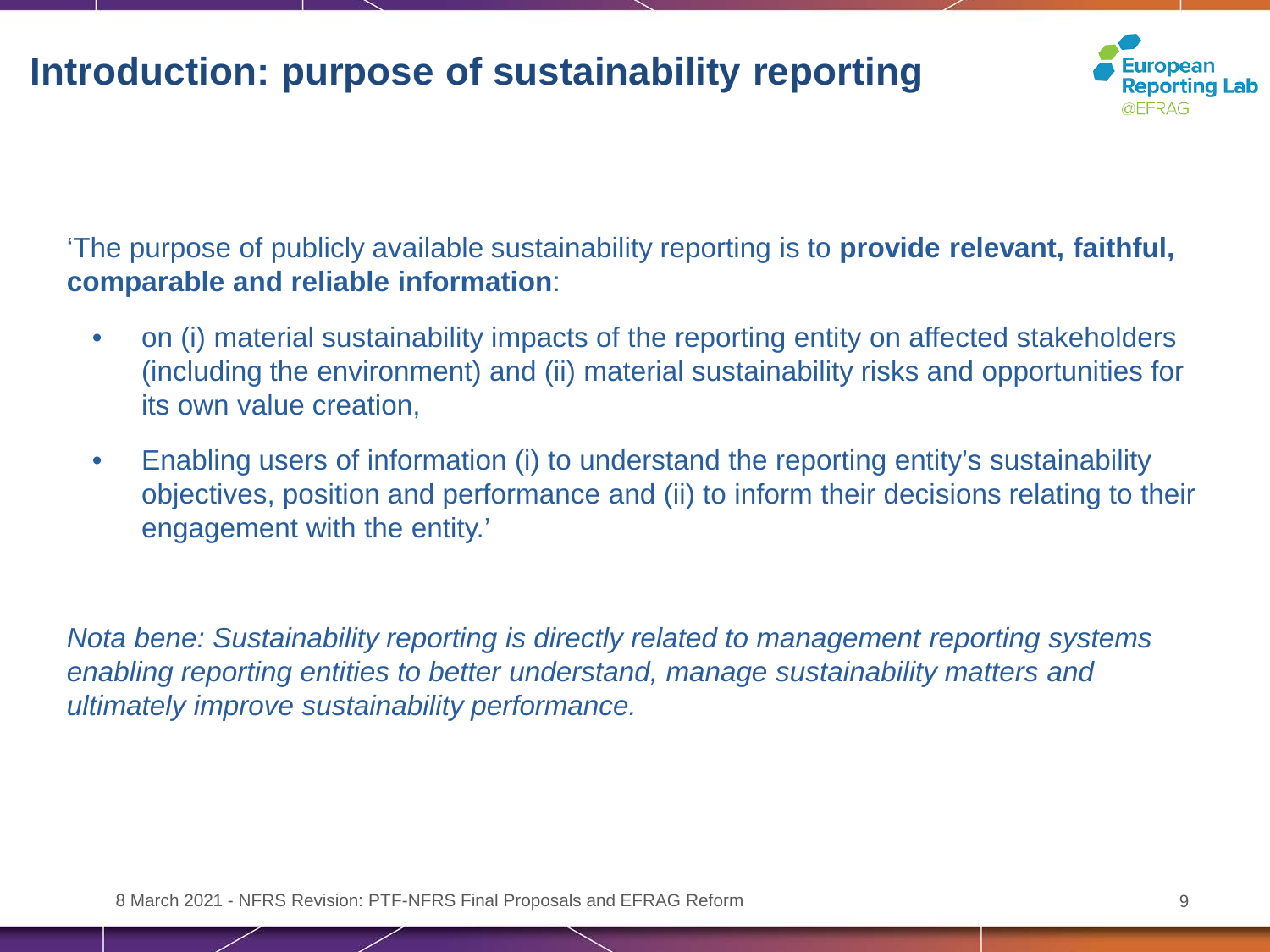# **Introduction: purpose of sustainability reporting**



'The purpose of publicly available sustainability reporting is to **provide relevant, faithful, comparable and reliable information**:

- on (i) material sustainability impacts of the reporting entity on affected stakeholders (including the environment) and (ii) material sustainability risks and opportunities for its own value creation,
- Enabling users of information (i) to understand the reporting entity's sustainability objectives, position and performance and (ii) to inform their decisions relating to their engagement with the entity.'

*Nota bene: Sustainability reporting is directly related to management reporting systems enabling reporting entities to better understand, manage sustainability matters and ultimately improve sustainability performance.*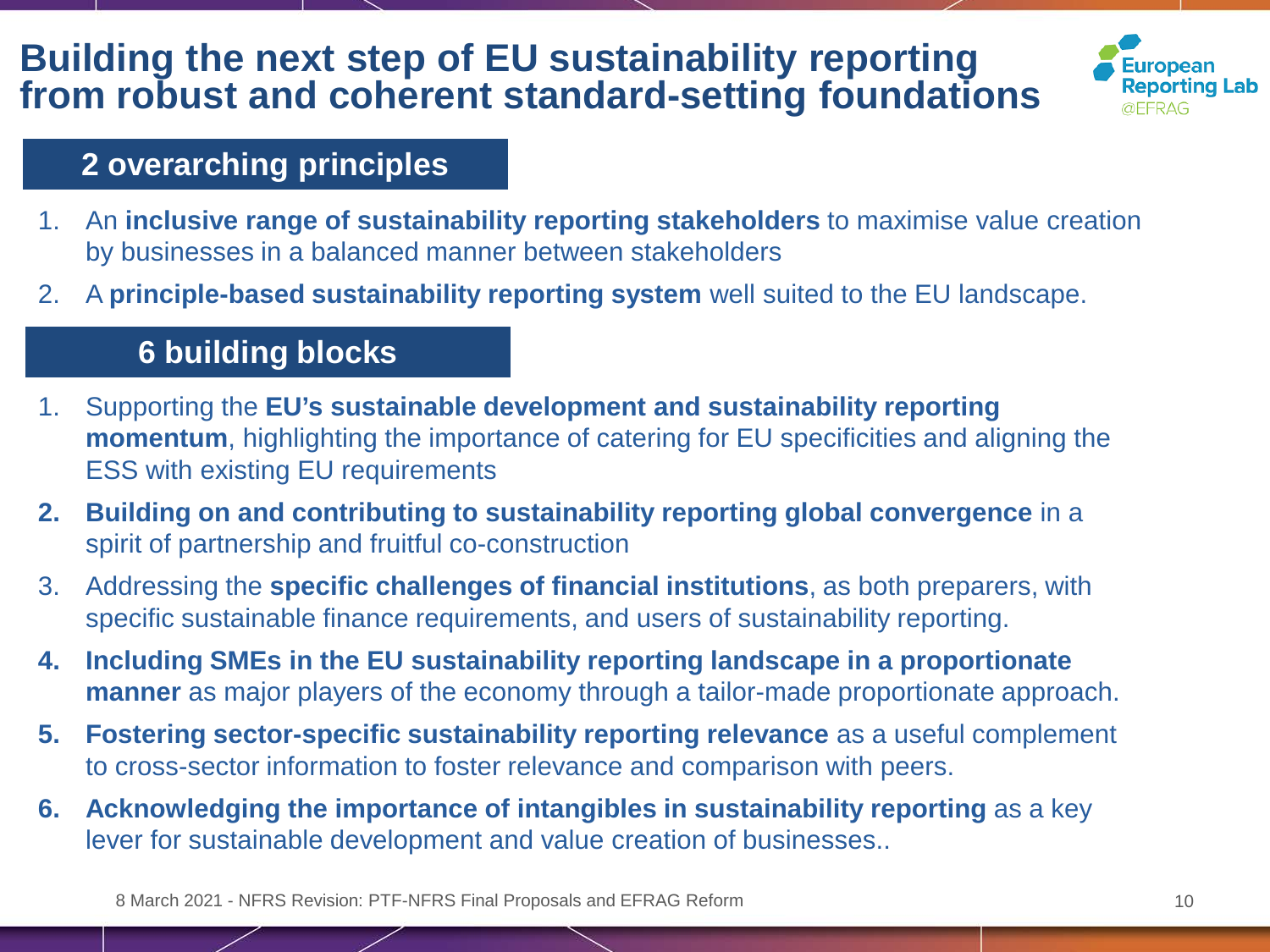## **Building the next step of EU sustainability reporting from robust and coherent standard-setting foundations**



#### **2 overarching principles**

- 1. An **inclusive range of sustainability reporting stakeholders** to maximise value creation by businesses in a balanced manner between stakeholders
- 2. A **principle-based sustainability reporting system** well suited to the EU landscape.

#### **6 building blocks**

- 1. Supporting the **EU's sustainable development and sustainability reporting momentum**, highlighting the importance of catering for EU specificities and aligning the ESS with existing EU requirements
- **2. Building on and contributing to sustainability reporting global convergence** in a spirit of partnership and fruitful co-construction
- 3. Addressing the **specific challenges of financial institutions**, as both preparers, with specific sustainable finance requirements, and users of sustainability reporting.
- **4. Including SMEs in the EU sustainability reporting landscape in a proportionate manner** as major players of the economy through a tailor-made proportionate approach.
- **5. Fostering sector-specific sustainability reporting relevance** as a useful complement to cross-sector information to foster relevance and comparison with peers.
- **6.** Acknowledging the importance of intangibles in sustainability reporting as a key lever for sustainable development and value creation of businesses..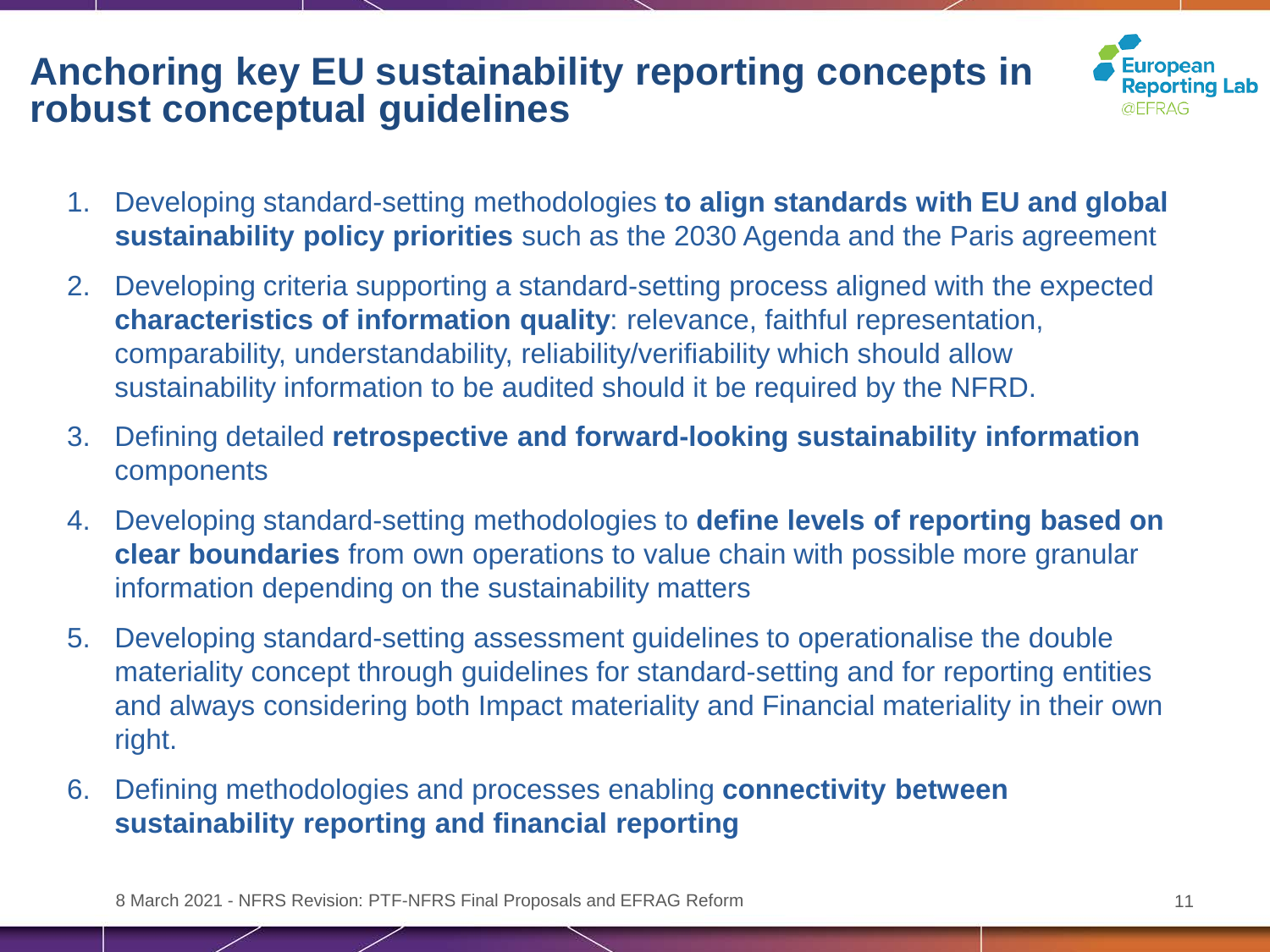## **Anchoring key EU sustainability reporting concepts in robust conceptual guidelines**



- 1. Developing standard-setting methodologies **to align standards with EU and global sustainability policy priorities** such as the 2030 Agenda and the Paris agreement
- 2. Developing criteria supporting a standard-setting process aligned with the expected **characteristics of information quality**: relevance, faithful representation, comparability, understandability, reliability/verifiability which should allow sustainability information to be audited should it be required by the NFRD.
- 3. Defining detailed **retrospective and forward-looking sustainability information**  components
- 4. Developing standard-setting methodologies to **define levels of reporting based on clear boundaries** from own operations to value chain with possible more granular information depending on the sustainability matters
- 5. Developing standard-setting assessment guidelines to operationalise the double materiality concept through guidelines for standard-setting and for reporting entities and always considering both Impact materiality and Financial materiality in their own right.
- 6. Defining methodologies and processes enabling **connectivity between sustainability reporting and financial reporting**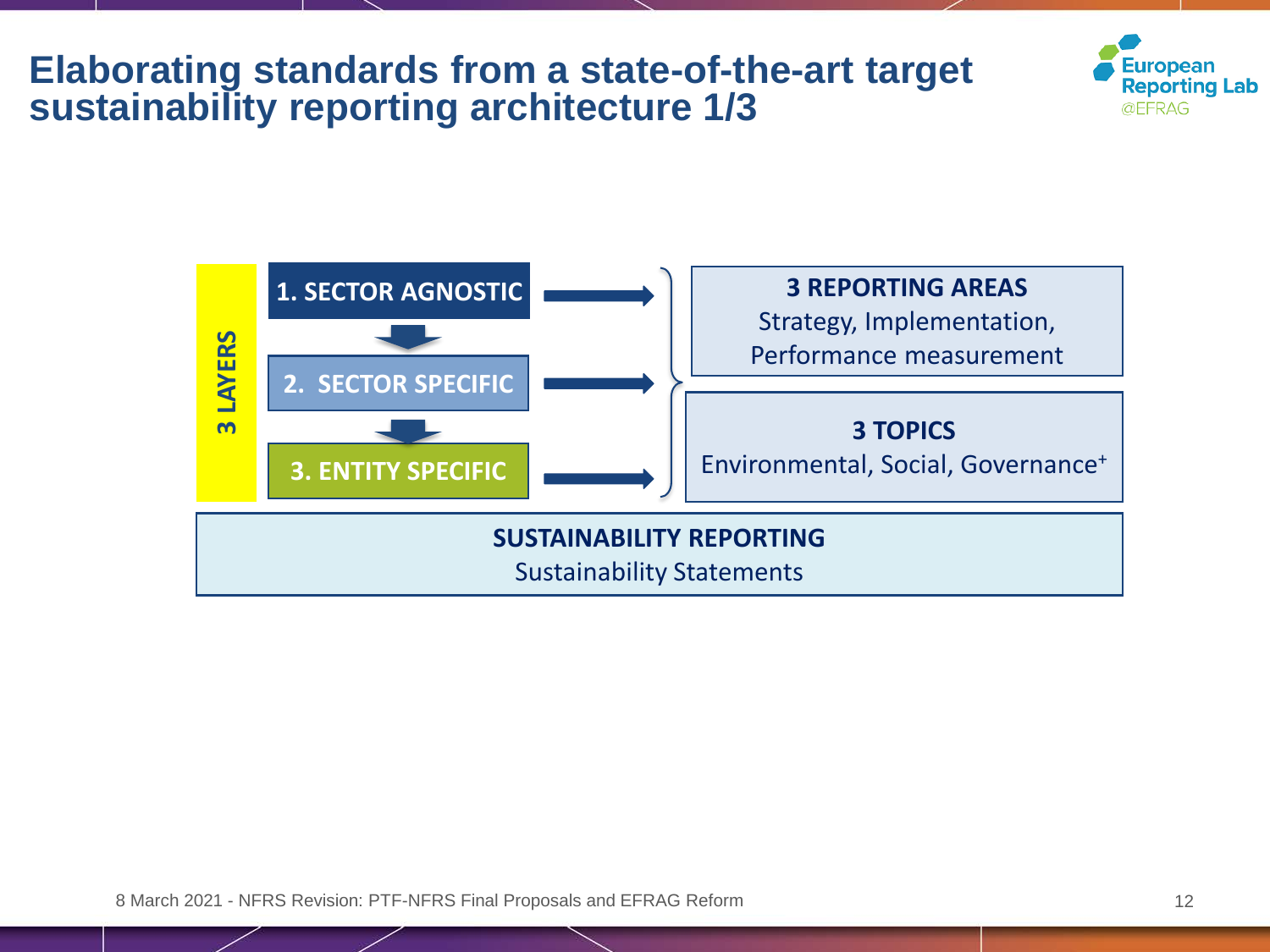### **Elaborating standards from a state-of-the-art target sustainability reporting architecture 1/3**



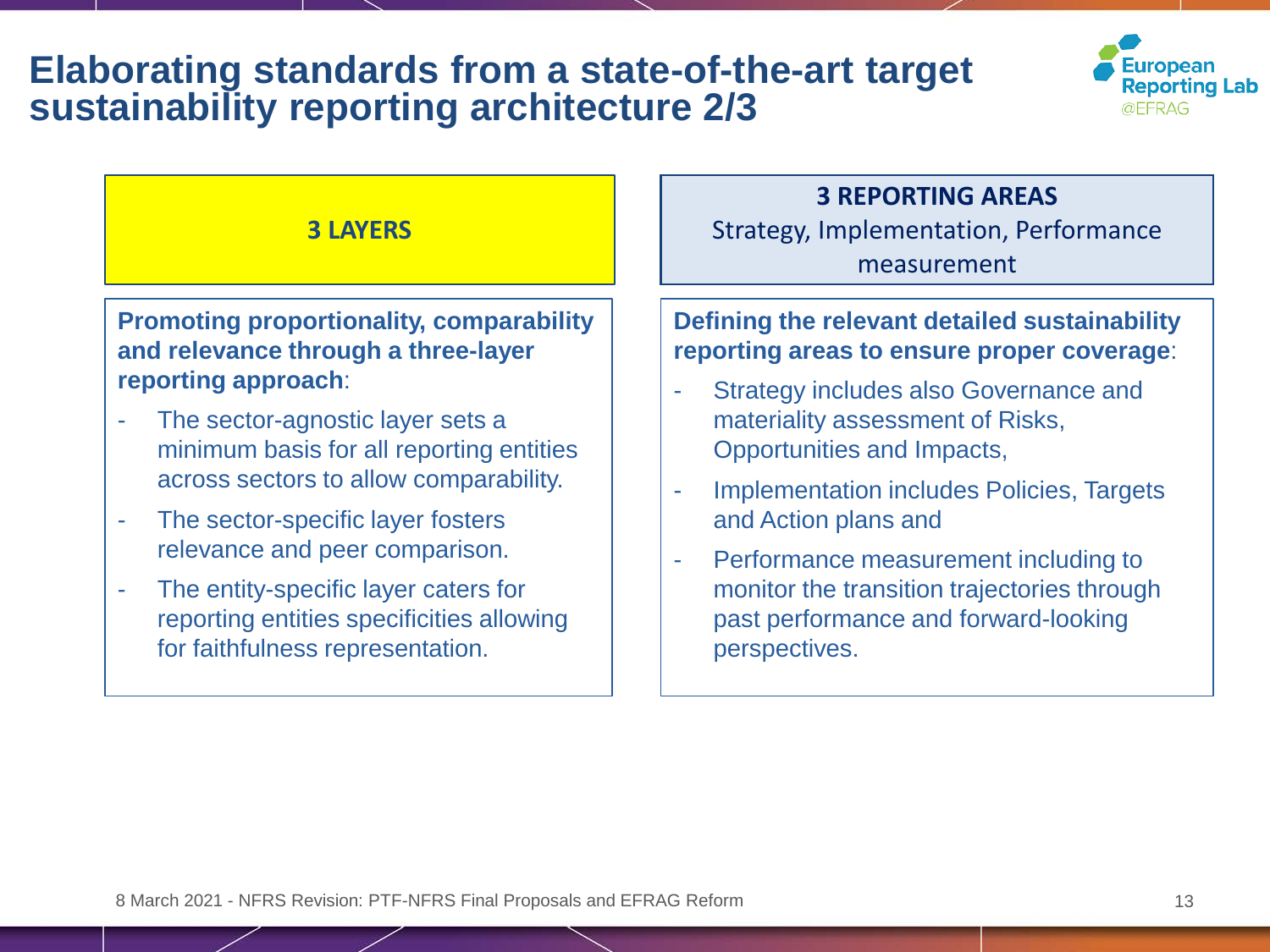### **Elaborating standards from a state-of-the-art target sustainability reporting architecture 2/3**



#### **3 LAYERS**

#### **Promoting proportionality, comparability and relevance through a three-layer reporting approach**:

- The sector-agnostic layer sets a minimum basis for all reporting entities across sectors to allow comparability.
- The sector-specific layer fosters relevance and peer comparison.
- The entity-specific layer caters for reporting entities specificities allowing for faithfulness representation.

#### **3 REPORTING AREAS**

Strategy, Implementation, Performance measurement

#### **Defining the relevant detailed sustainability reporting areas to ensure proper coverage**:

- **Strategy includes also Governance and** materiality assessment of Risks, Opportunities and Impacts,
- Implementation includes Policies, Targets and Action plans and
- Performance measurement including to monitor the transition trajectories through past performance and forward-looking perspectives.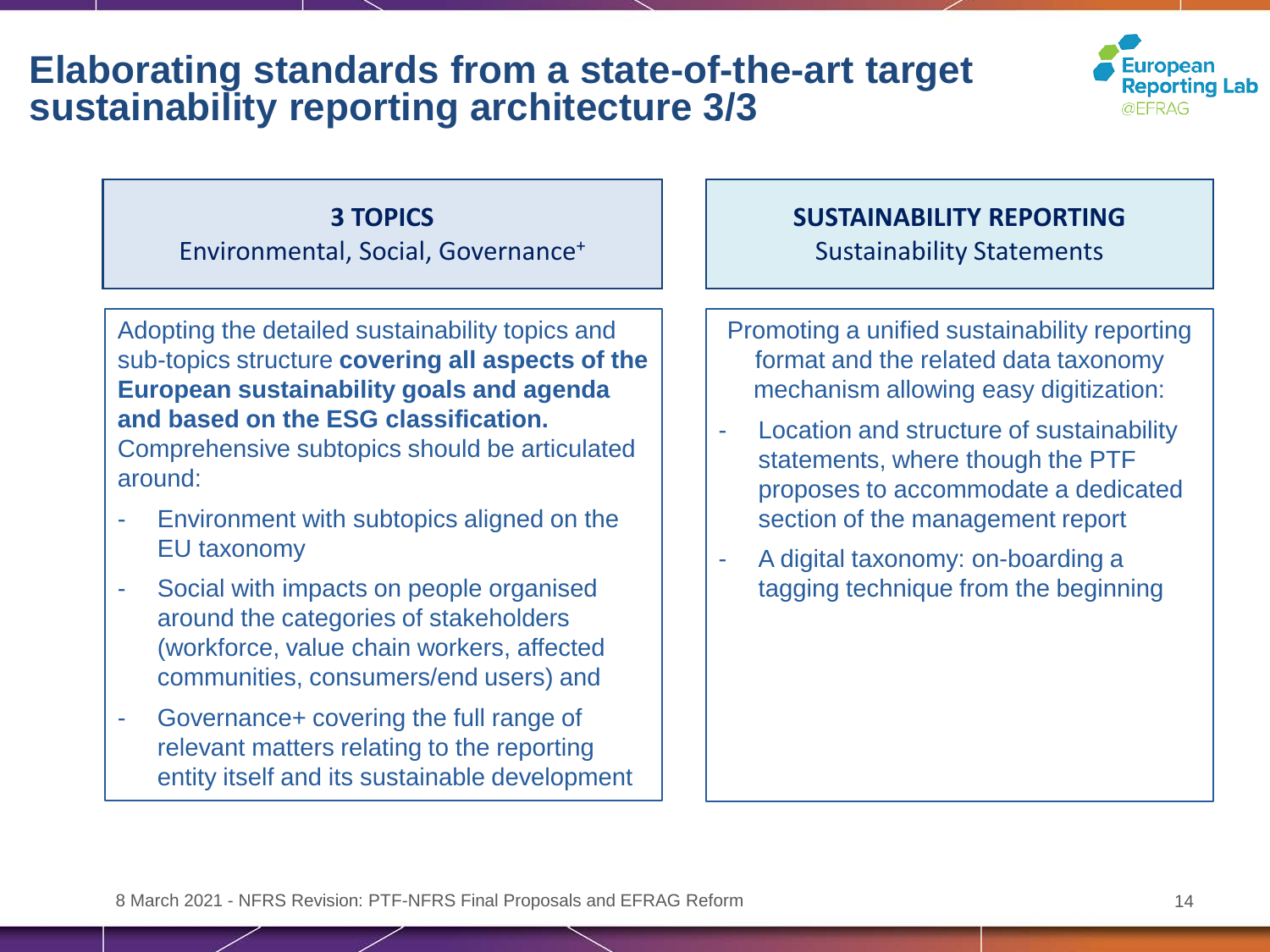### **Elaborating standards from a state-of-the-art target sustainability reporting architecture 3/3**



#### **3 TOPICS**

Environmental, Social, Governance+

Adopting the detailed sustainability topics and sub-topics structure **covering all aspects of the European sustainability goals and agenda and based on the ESG classification.** 

Comprehensive subtopics should be articulated around:

- Environment with subtopics aligned on the EU taxonomy
- Social with impacts on people organised around the categories of stakeholders (workforce, value chain workers, affected communities, consumers/end users) and
- Governance+ covering the full range of relevant matters relating to the reporting entity itself and its sustainable development

#### **SUSTAINABILITY REPORTING** Sustainability Statements

- Promoting a unified sustainability reporting format and the related data taxonomy mechanism allowing easy digitization:
- Location and structure of sustainability statements, where though the PTF proposes to accommodate a dedicated section of the management report
- A digital taxonomy: on-boarding a tagging technique from the beginning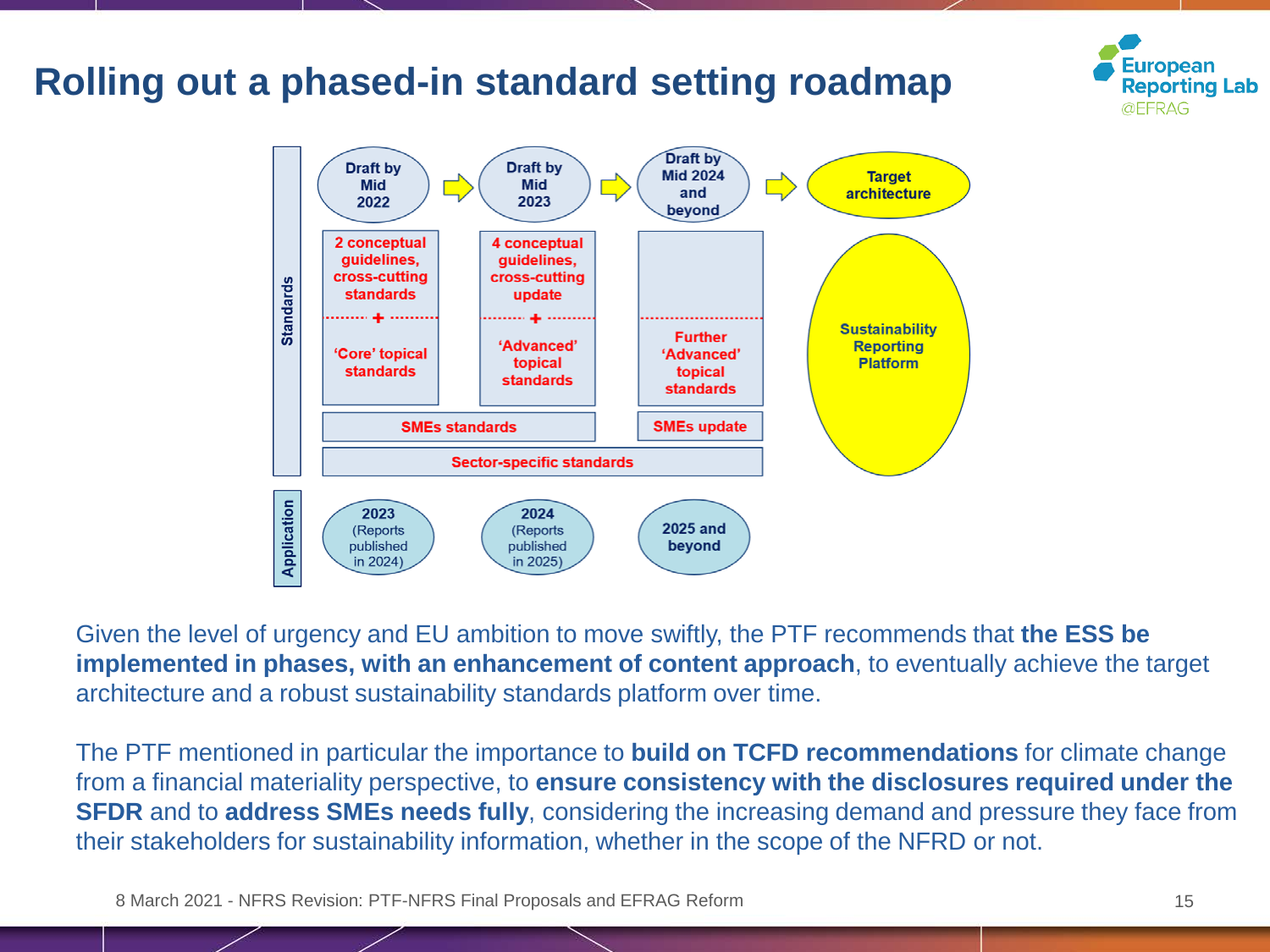

Given the level of urgency and EU ambition to move swiftly, the PTF recommends that **the ESS be implemented in phases, with an enhancement of content approach**, to eventually achieve the target architecture and a robust sustainability standards platform over time.

The PTF mentioned in particular the importance to **build on TCFD recommendations** for climate change from a financial materiality perspective, to **ensure consistency with the disclosures required under the SFDR** and to **address SMEs needs fully**, considering the increasing demand and pressure they face from their stakeholders for sustainability information, whether in the scope of the NFRD or not.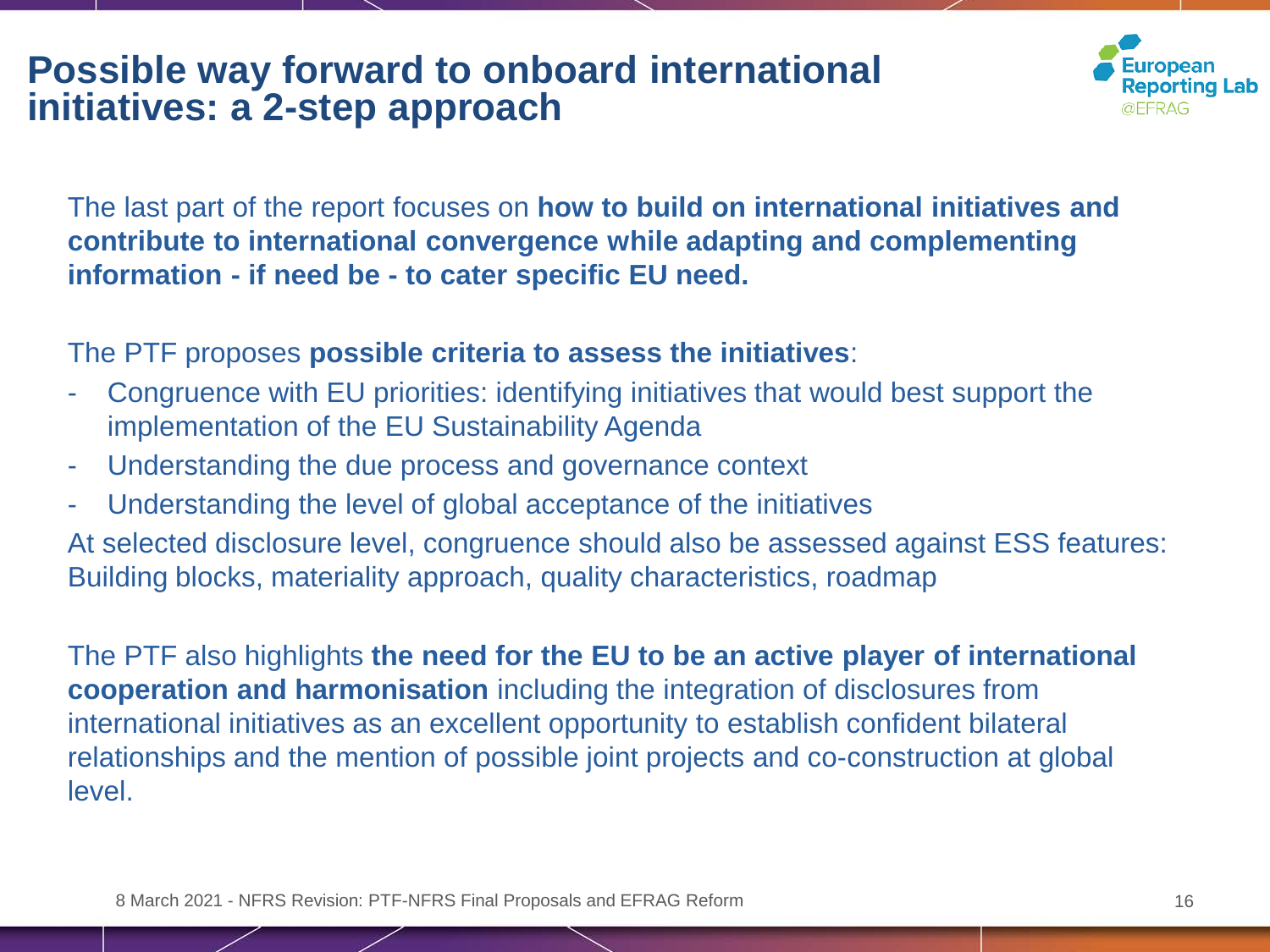### **Possible way forward to onboard international initiatives: a 2-step approach**



The last part of the report focuses on **how to build on international initiatives and contribute to international convergence while adapting and complementing information - if need be - to cater specific EU need.**

The PTF proposes **possible criteria to assess the initiatives**:

- Congruence with EU priorities: identifying initiatives that would best support the implementation of the EU Sustainability Agenda
- Understanding the due process and governance context
- Understanding the level of global acceptance of the initiatives

At selected disclosure level, congruence should also be assessed against ESS features: Building blocks, materiality approach, quality characteristics, roadmap

The PTF also highlights **the need for the EU to be an active player of international cooperation and harmonisation** including the integration of disclosures from international initiatives as an excellent opportunity to establish confident bilateral relationships and the mention of possible joint projects and co-construction at global level.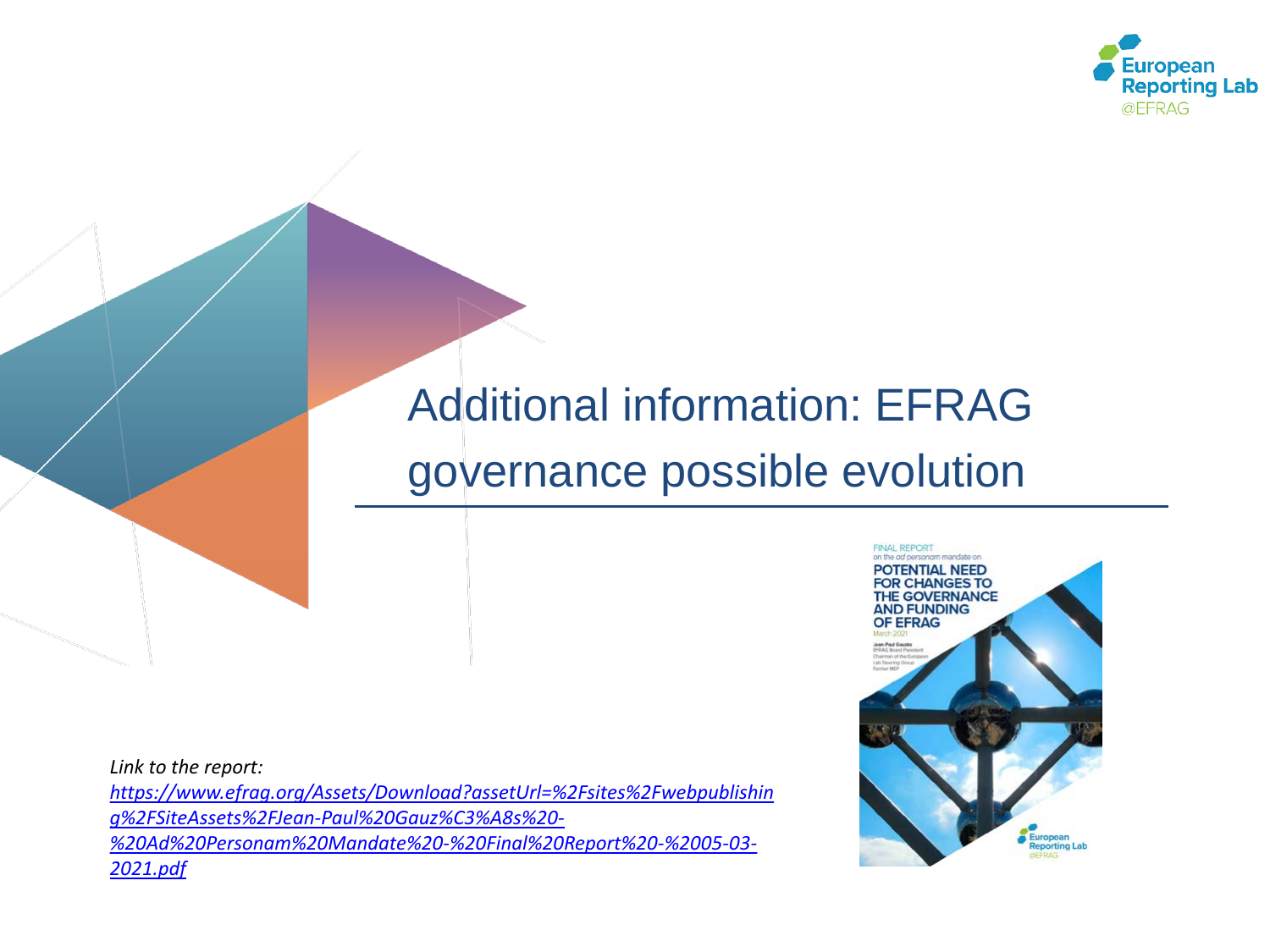

# Additional information: EFRAG governance possible evolution

*Link to the report: https://www.efrag.org/Assets/Download?assetUrl=%2Fsites%2Fwebpublishin g%2FSiteAssets%2FJean-Paul%20Gauz%C3%A8s%20- [%20Ad%20Personam%20Mandate%20-%20Final%20Report%20-%2005-03-](https://www.efrag.org/Assets/Download?assetUrl=%2Fsites%2Fwebpublishing%2FSiteAssets%2FJean-Paul%20Gauz%C3%A8s%20-%20Ad%20Personam%20Mandate%20-%20Final%20Report%20-%2005-03-2021.pdf) 2021.pdf*

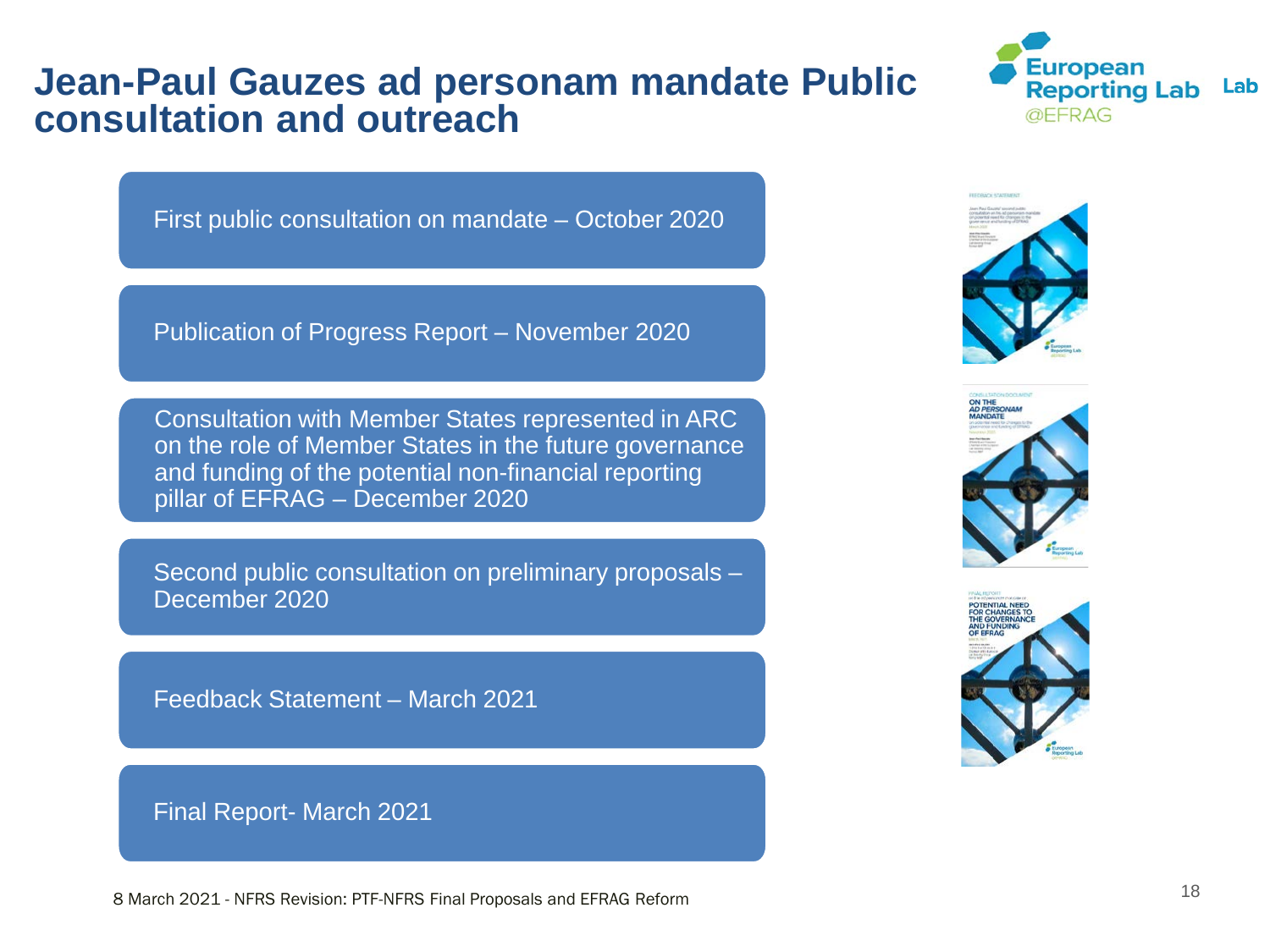#### **Jean-Paul Gauzes ad personam mandate Public consultation and outreach**



First public consultation on mandate – October 2020

Publication of Progress Report – November 2020

Consultation with Member States represented in ARC on the role of Member States in the future governance and funding of the potential non-financial reporting pillar of EFRAG – December 2020

Second public consultation on preliminary proposals – December 2020

Feedback Statement – March 2021

Final Report- March 2021





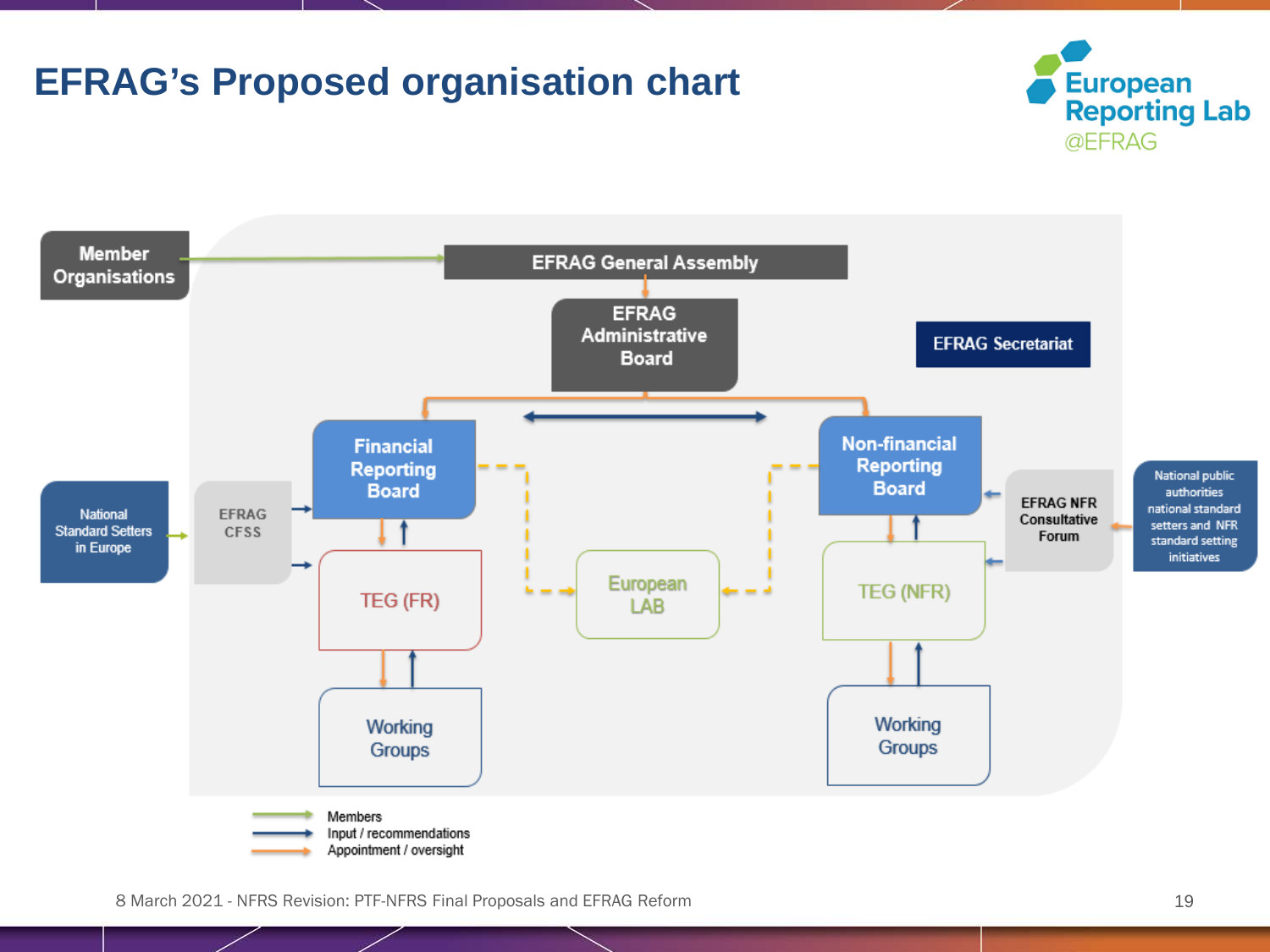

**EFRAG's Proposed organisation chart**

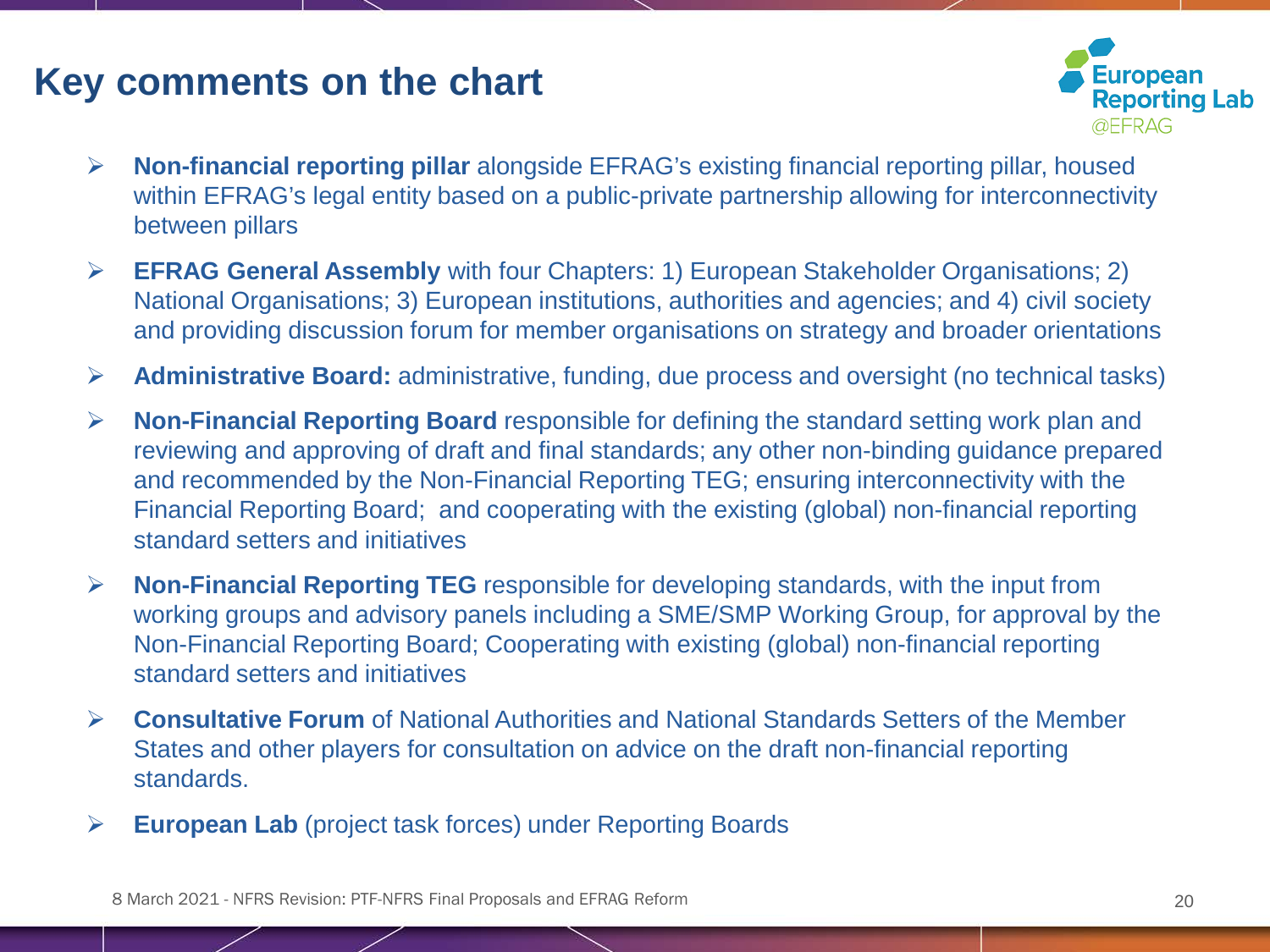### **Key comments on the chart**



- **Non-financial reporting pillar** alongside EFRAG's existing financial reporting pillar, housed within EFRAG's legal entity based on a public-private partnership allowing for interconnectivity between pillars
- **EFRAG General Assembly** with four Chapters: 1) European Stakeholder Organisations; 2) National Organisations; 3) European institutions, authorities and agencies; and 4) civil society and providing discussion forum for member organisations on strategy and broader orientations
- **Administrative Board:** administrative, funding, due process and oversight (no technical tasks)
- **Non-Financial Reporting Board** responsible for defining the standard setting work plan and reviewing and approving of draft and final standards; any other non-binding guidance prepared and recommended by the Non-Financial Reporting TEG; ensuring interconnectivity with the Financial Reporting Board; and cooperating with the existing (global) non-financial reporting standard setters and initiatives
- **Non-Financial Reporting TEG** responsible for developing standards, with the input from working groups and advisory panels including a SME/SMP Working Group, for approval by the Non-Financial Reporting Board; Cooperating with existing (global) non-financial reporting standard setters and initiatives
- **Consultative Forum** of National Authorities and National Standards Setters of the Member States and other players for consultation on advice on the draft non-financial reporting standards.
- **European Lab** (project task forces) under Reporting Boards